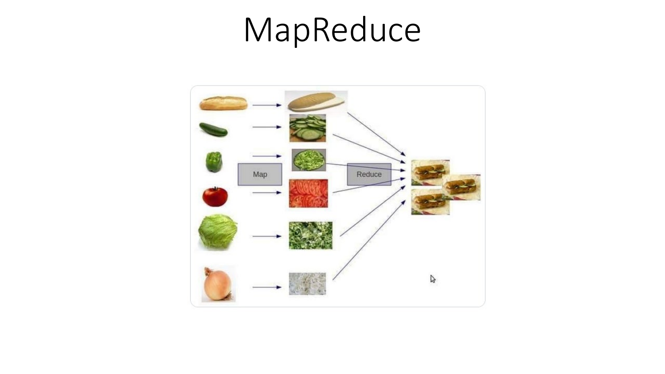# MapReduce

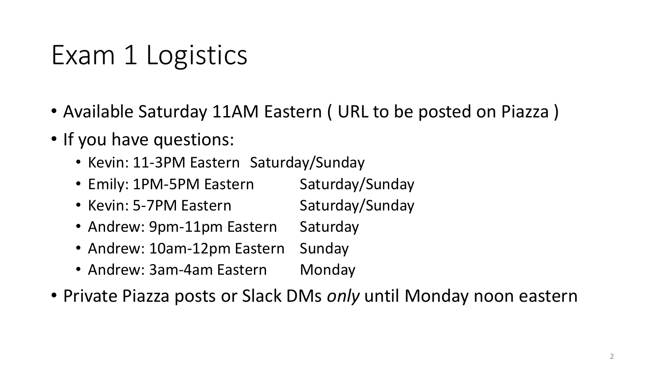## Exam 1 Logistics

- Available Saturday 11AM Eastern ( URL to be posted on Piazza )
- If you have questions:
	- Kevin: 11-3PM Eastern Saturday/Sunday
	- Emily: 1PM-5PM Eastern Saturday/Sunday
	- Kevin: 5-7PM Eastern Saturday/Sunday
	- Andrew: 9pm-11pm Eastern Saturday
	- Andrew: 10am-12pm Eastern Sunday
	- Andrew: 3am-4am Eastern Monday
- Private Piazza posts or Slack DMs *only* until Monday noon eastern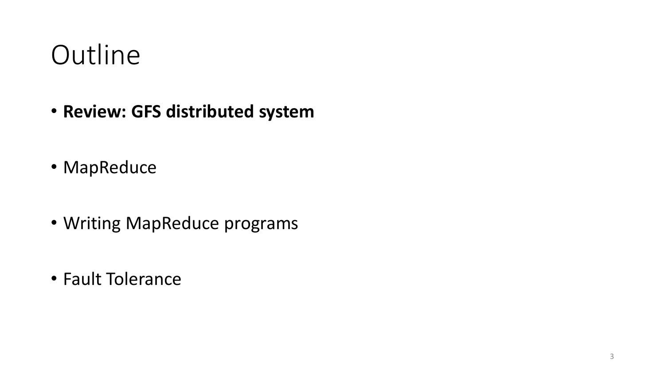#### **Outline**

- **Review: GFS distributed system**
- MapReduce
- Writing MapReduce programs
- Fault Tolerance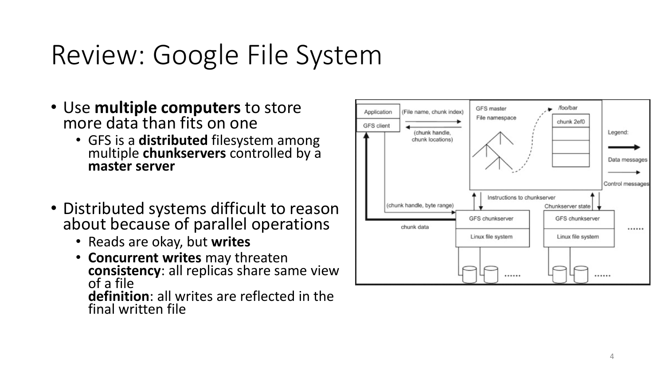## Review: Google File System

- Use **multiple computers** to store more data than fits on one
	- GFS is a **distributed** filesystem among multiple **chunkservers** controlled by a **master server**
- Distributed systems difficult to reason about because of parallel operations
	- Reads are okay, but **writes**
	- **Concurrent writes** may threaten **consistency**: all replicas share same view<br>of a file **definition**: all writes are reflected in the final written file

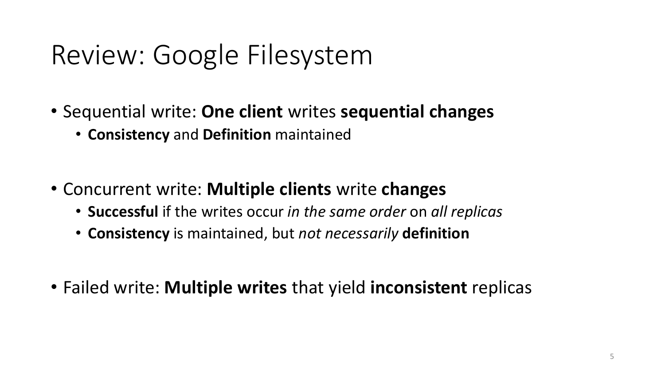## Review: Google Filesystem

- Sequential write: **One client** writes **sequential changes**
	- **Consistency** and **Definition** maintained
- Concurrent write: **Multiple clients** write **changes**
	- **Successful** if the writes occur *in the same order* on *all replicas*
	- **Consistency** is maintained, but *not necessarily* **definition**
- Failed write: **Multiple writes** that yield **inconsistent** replicas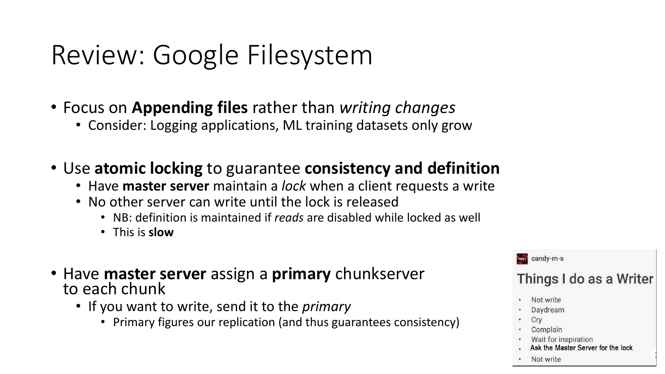## Review: Google Filesystem

- Focus on **Appending files** rather than *writing changes*
	- Consider: Logging applications, ML training datasets only grow
- Use **atomic locking** to guarantee **consistency and definition**
	- Have **master server** maintain a *lock* when a client requests a write
	- No other server can write until the lock is released
		- NB: definition is maintained if *reads* are disabled while locked as well
		- This is **slow**
- Have **master server** assign a **primary** chunkserver to each chunk
	- If you want to write, send it to the *primary*
		- Primary figures our replication (and thus guarantees consistency)



Not write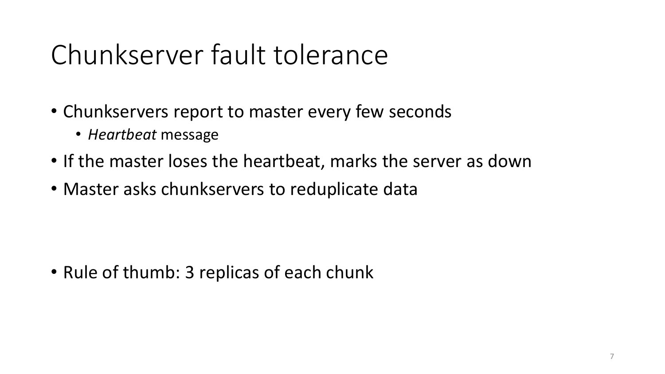## Chunkserver fault tolerance

- Chunkservers report to master every few seconds
	- *Heartbeat* message
- If the master loses the heartbeat, marks the server as down
- Master asks chunkservers to reduplicate data

• Rule of thumb: 3 replicas of each chunk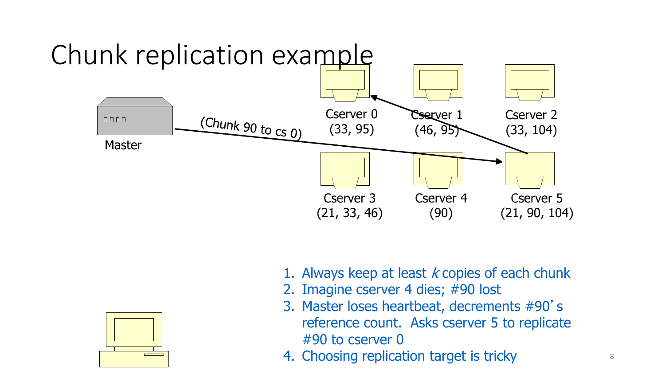



- 2. Imagine cserver 4 dies; #90 lost
- 3. Master loses heartbeat, decrements #90's reference count. Asks cserver 5 to replicate #90 to cserver 0
- 4. Choosing replication target is tricky

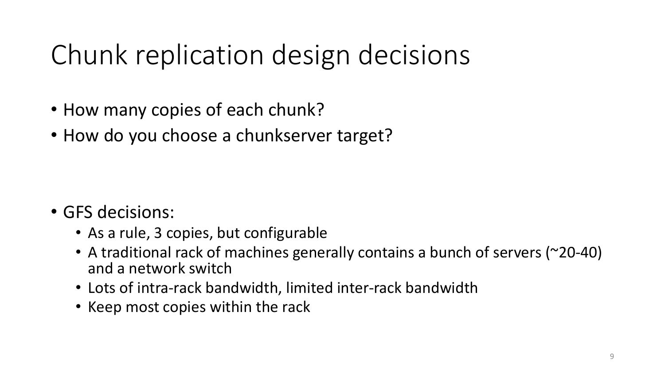## Chunk replication design decisions

- How many copies of each chunk?
- How do you choose a chunkserver target?

- GFS decisions:
	- As a rule, 3 copies, but configurable
	- A traditional rack of machines generally contains a bunch of servers (~20-40) and a network switch
	- Lots of intra-rack bandwidth, limited inter-rack bandwidth
	- Keep most copies within the rack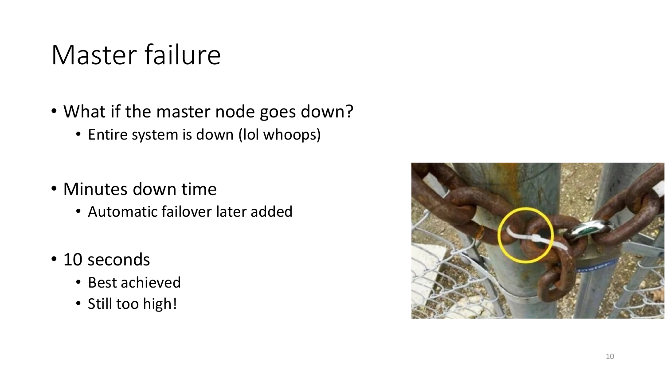## Master failure

- What if the master node goes down?
	- Entire system is down (lol whoops)
- Minutes down time
	- Automatic failover later added
- 10 seconds
	- Best achieved
	- Still too high!

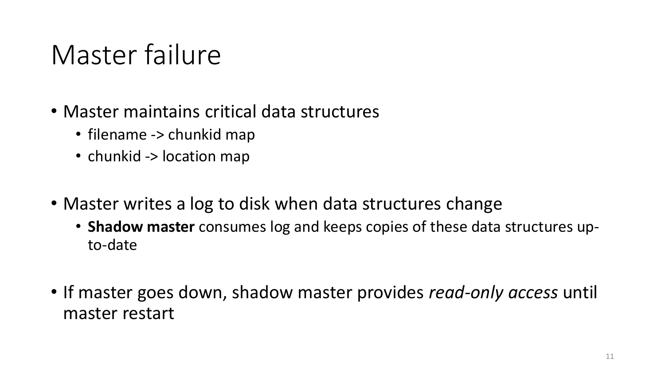## Master failure

- Master maintains critical data structures
	- filename -> chunkid map
	- chunkid -> location map
- Master writes a log to disk when data structures change
	- **Shadow master** consumes log and keeps copies of these data structures upto-date
- If master goes down, shadow master provides *read-only access* until master restart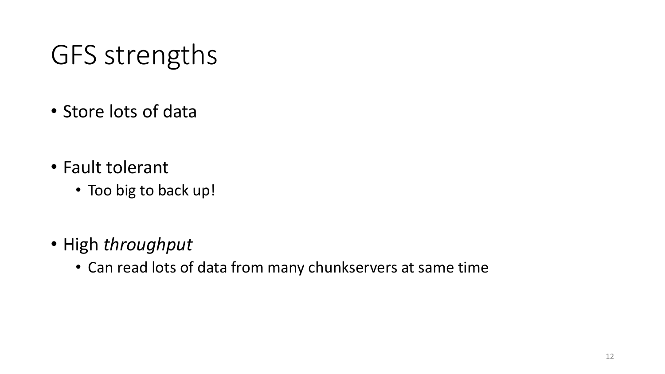## GFS strengths

- Store lots of data
- Fault tolerant
	- Too big to back up!
- High *throughput*
	- Can read lots of data from many chunkservers at same time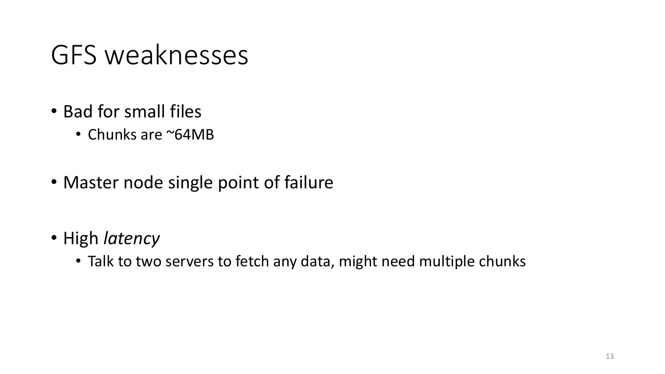## GFS weaknesses

- Bad for small files
	- Chunks are ~64MB
- Master node single point of failure
- High *latency*
	- Talk to two servers to fetch any data, might need multiple chunks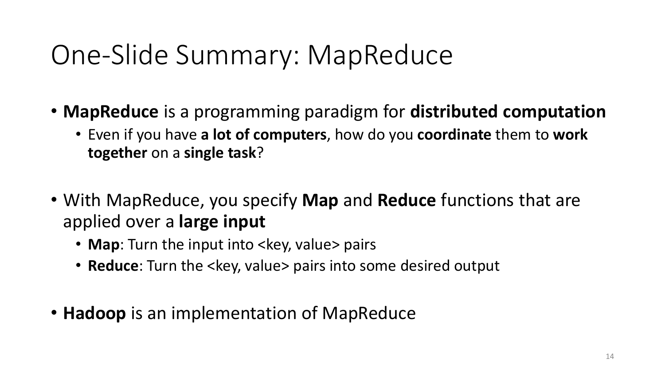## One-Slide Summary: MapReduce

- **MapReduce** is a programming paradigm for **distributed computation**
	- Even if you have **a lot of computers**, how do you **coordinate** them to **work together** on a **single task**?
- With MapReduce, you specify **Map** and **Reduce** functions that are applied over a **large input**
	- **Map**: Turn the input into <key, value> pairs
	- **Reduce**: Turn the <key, value> pairs into some desired output
- **Hadoop** is an implementation of MapReduce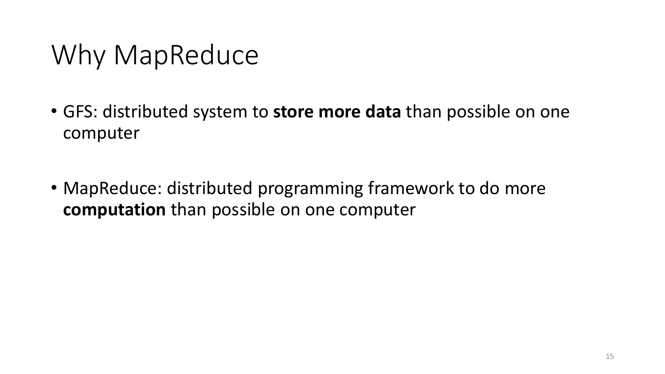## Why MapReduce

- GFS: distributed system to **store more data** than possible on one computer
- MapReduce: distributed programming framework to do more **computation** than possible on one computer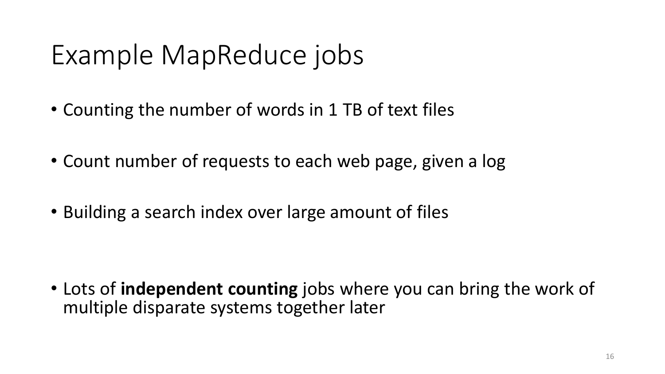## Example MapReduce jobs

- Counting the number of words in 1 TB of text files
- Count number of requests to each web page, given a log
- Building a search index over large amount of files

• Lots of **independent counting** jobs where you can bring the work of multiple disparate systems together later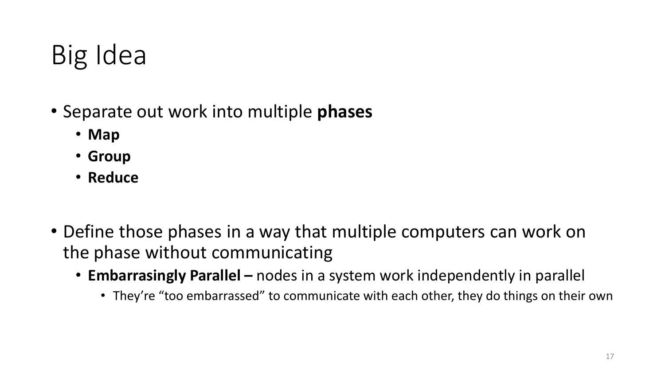## Big Idea

- Separate out work into multiple **phases**
	- **Map**
	- **Group**
	- **Reduce**
- Define those phases in a way that multiple computers can work on the phase without communicating
	- **Embarrasingly Parallel –** nodes in a system work independently in parallel
		- They're "too embarrassed" to communicate with each other, they do things on their own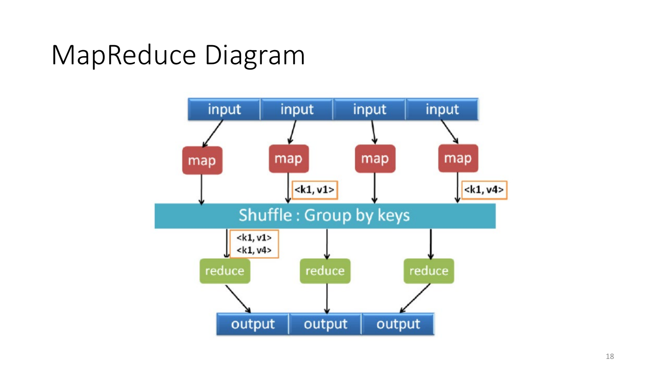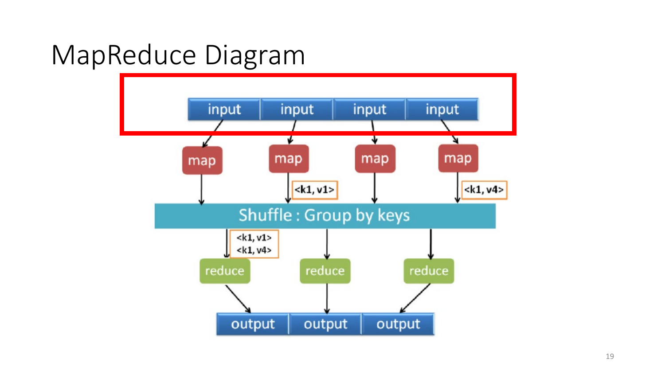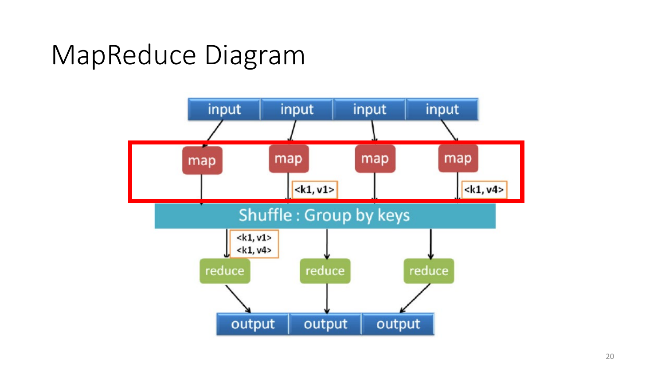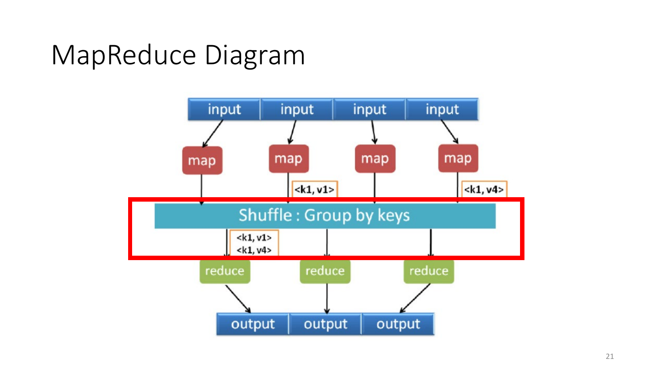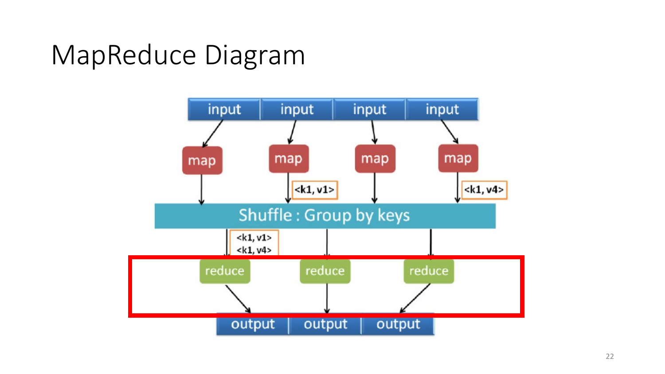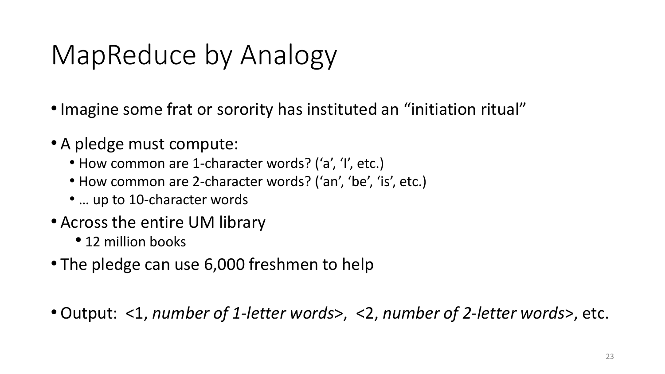- •Imagine some frat or sorority has instituted an "initiation ritual"
- A pledge must compute:
	- How common are 1-character words? ('a', 'I', etc.)
	- How common are 2-character words? ('an', 'be', 'is', etc.)
	- … up to 10-character words
- Across the entire UM library
	- 12 million books
- The pledge can use 6,000 freshmen to help

•Output: <1, *number of 1-letter words*>, <2, *number of 2-letter words*>, etc.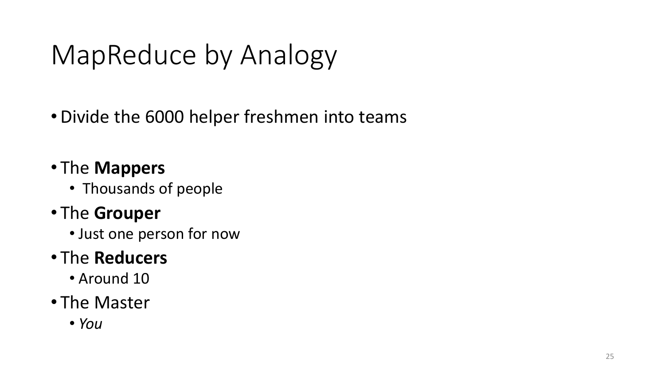- •Divide the 6000 helper freshmen into teams
- The **Mappers**
	- Thousands of people
- The **Grouper**
	- Just one person for now

#### • The **Reducers**

• Around 10

#### • The Master

• *You*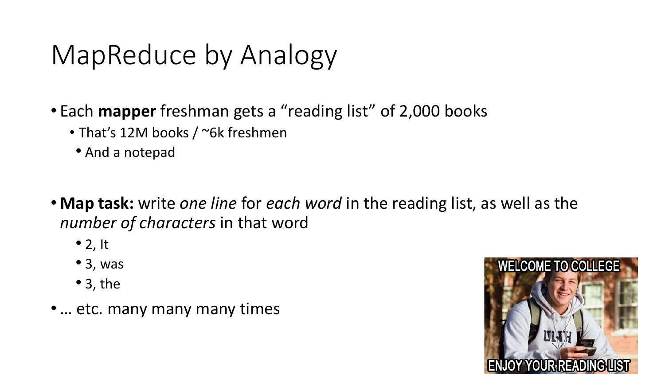- Each **mapper** freshman gets a "reading list" of 2,000 books
	- That's 12M books / ~6k freshmen
	- And a notepad
- **Map task:** write *one line* for *each word* in the reading list, as well as the *number of characters* in that word
	- $\bullet$  2, It
	- 3, was
	- 3, the
- •… etc. many many many times

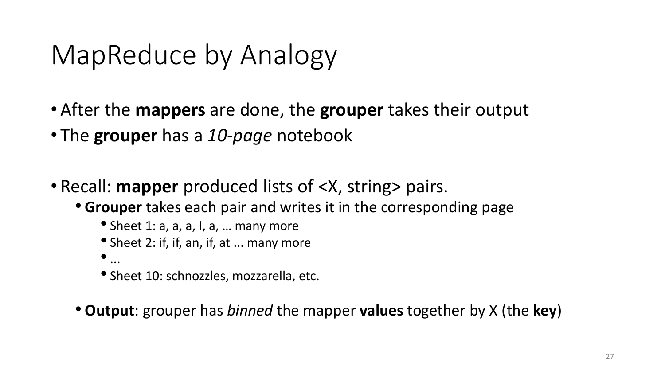- After the **mappers** are done, the **grouper** takes their output
- The **grouper** has a *10-page* notebook
- Recall: **mapper** produced lists of <X, string> pairs.
	- **Grouper** takes each pair and writes it in the corresponding page
		- Sheet 1: a, a, a, I, a, … many more
		- Sheet 2: if, if, an, if, at ... many more
		- $\bullet$  ...
		- Sheet 10: schnozzles, mozzarella, etc.
	- **Output**: grouper has *binned* the mapper **values** together by X (the **key**)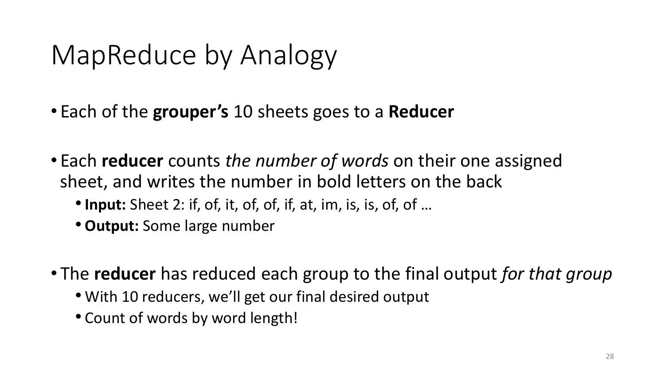- Each of the **grouper's** 10 sheets goes to a **Reducer**
- Each **reducer** counts *the number of words* on their one assigned sheet, and writes the number in bold letters on the back
	- •**Input:** Sheet 2: if, of, it, of, of, if, at, im, is, is, of, of …
	- **Output:** Some large number
- The **reducer** has reduced each group to the final output *for that group*
	- With 10 reducers, we'll get our final desired output
	- Count of words by word length!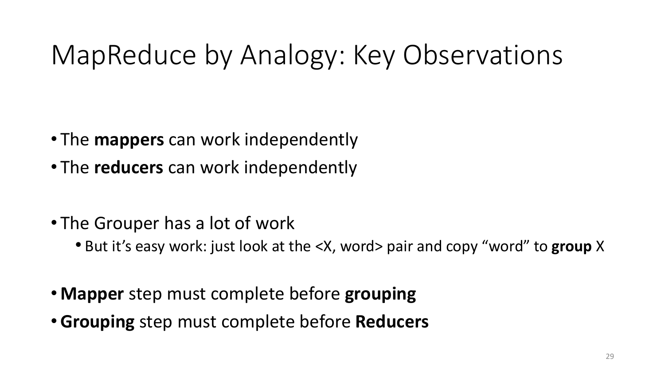## MapReduce by Analogy: Key Observations

- The **mappers** can work independently
- The **reducers** can work independently
- The Grouper has a lot of work
	- But it's easy work: just look at the <X, word> pair and copy "word" to **group** X
- **Mapper** step must complete before **grouping**
- •**Grouping** step must complete before **Reducers**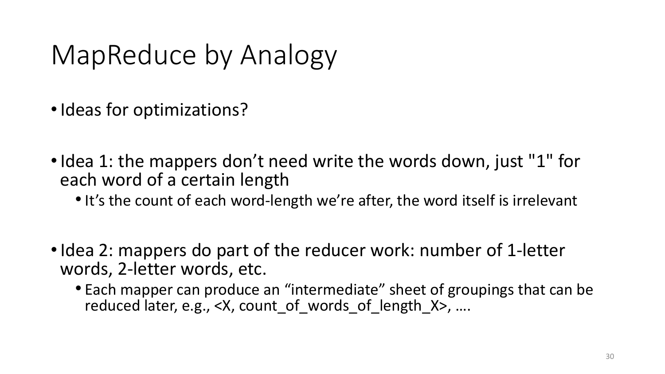- Ideas for optimizations?
- Idea 1: the mappers don't need write the words down, just "1" for each word of a certain length
	- It's the count of each word-length we're after, the word itself is irrelevant
- Idea 2: mappers do part of the reducer work: number of 1-letter words, 2-letter words, etc.
	- Each mapper can produce an "intermediate" sheet of groupings that can be reduced later, e.g., <X, count of words of length X>, ....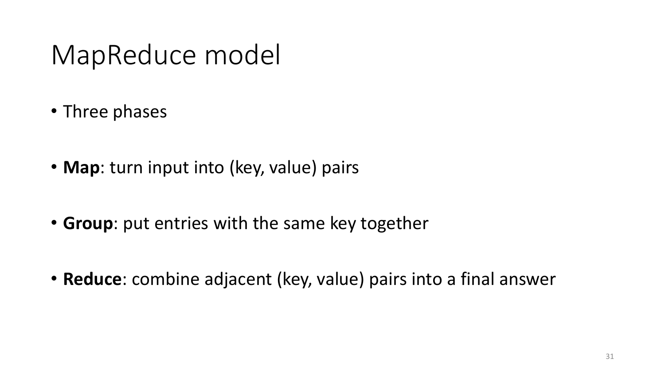#### MapReduce model

- Three phases
- **Map**: turn input into (key, value) pairs
- **Group**: put entries with the same key together
- **Reduce**: combine adjacent (key, value) pairs into a final answer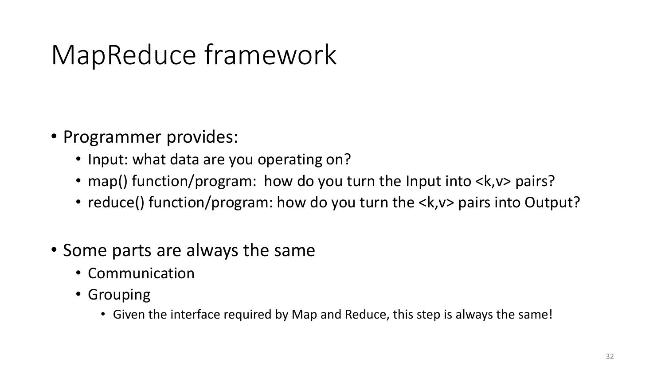## MapReduce framework

- Programmer provides:
	- Input: what data are you operating on?
	- map() function/program: how do you turn the Input into <k, v> pairs?
	- reduce() function/program: how do you turn the <k, v> pairs into Output?
- Some parts are always the same
	- Communication
	- Grouping
		- Given the interface required by Map and Reduce, this step is always the same!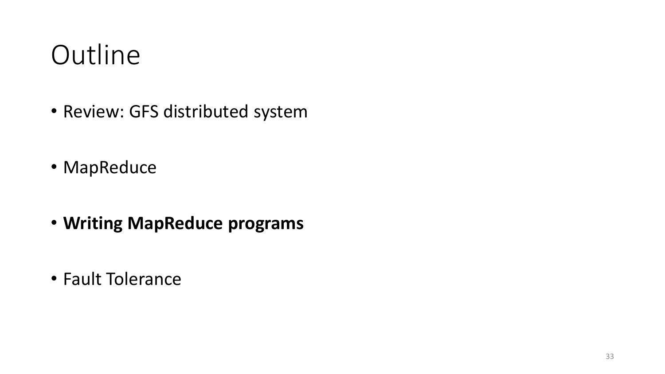### **Outline**

- Review: GFS distributed system
- MapReduce
- **Writing MapReduce programs**
- Fault Tolerance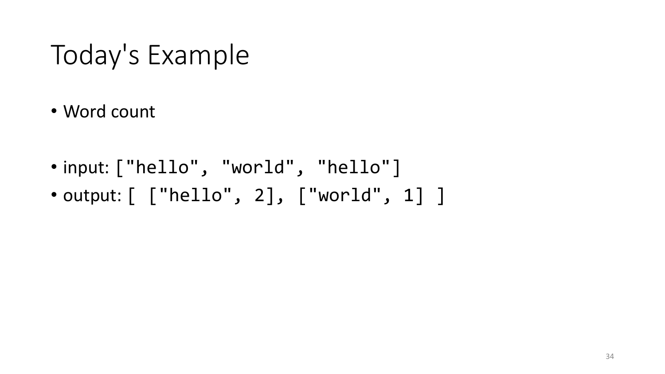#### Today's Example

- Word count
- input: ["hello", "world", "hello"]
- output:  $[$  ["hello", 2], ["world", 1] ]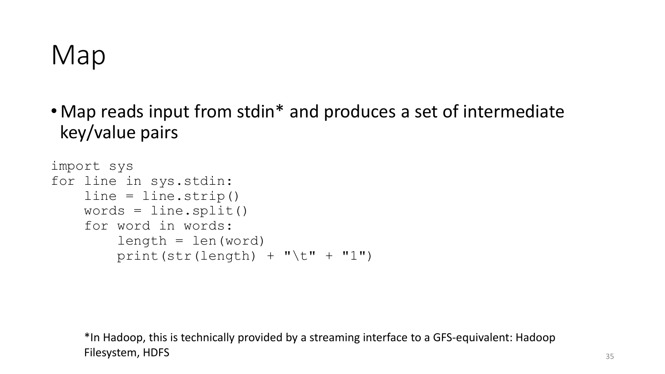#### Map

• Map reads input from stdin\* and produces a set of intermediate key/value pairs

```
import sys
for line in sys.stdin:
    line = line.strip()
    words = line.split()for word in words:
        length = len(word)
        print(str(length) + "\t" + "1")
```
\*In Hadoop, this is technically provided by a streaming interface to a GFS-equivalent: Hadoop Filesystem, HDFS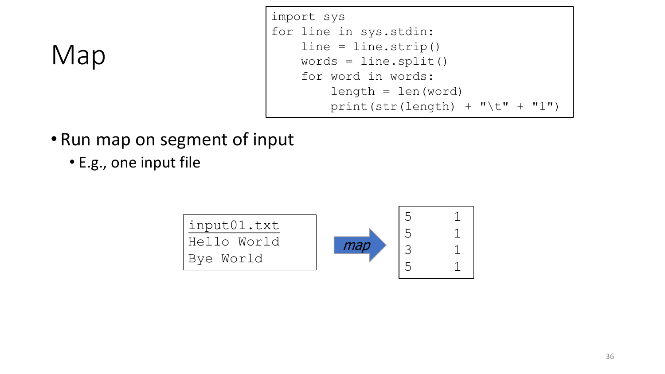#### Map

```
import sys
for line in sys.stdin:
    line = line.strip()
    words = line.split()
    for word in words:
        length = len(word)print(str(length) + "\setminus t" + "1")
```
- Run map on segment of input
	- E.g., one input file

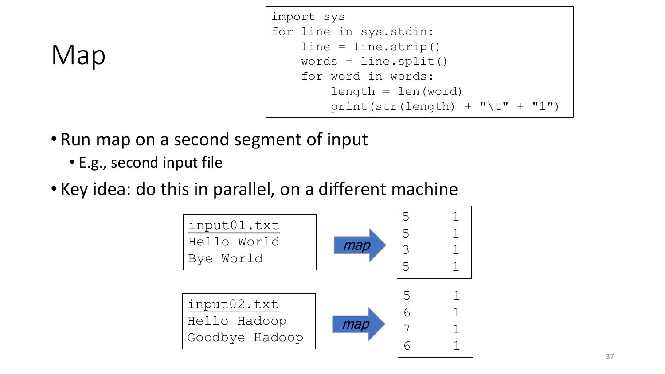```
import sys
for line in sys.stdin:
    line = line.strip()
    words = line.split()for word in words:
        length = len(word)print(str(length) + "\setminus t" + "1")
```
#### Map

- Run map on a second segment of input
	- E.g., second input file
- Key idea: do this in parallel, on a different machine

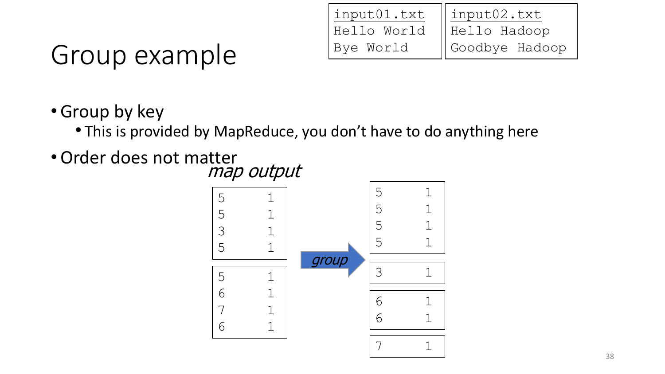| input01.txt | $\parallel$ input02.txt |
|-------------|-------------------------|
| Hello World | Hello Hadoop            |
| Bye World   | Goodbye Hadoop          |

## Group example

- •Group by key
	- This is provided by MapReduce, you don't have to do anything here
- •Order does not matter map output

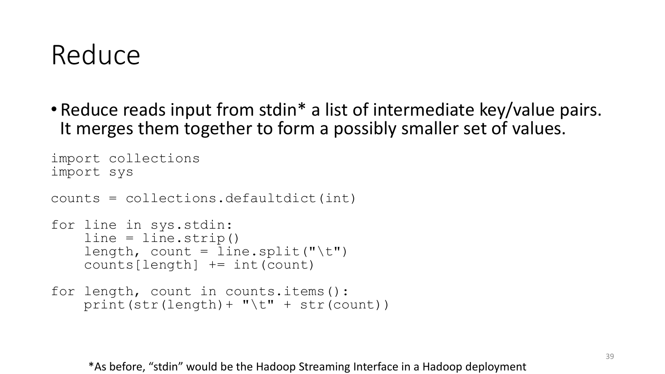#### Reduce

• Reduce reads input from stdin\* a list of intermediate key/value pairs. It merges them together to form a possibly smaller set of values.

```
import collections
import sys
counts = collections.defaultdict(int)
for line in sys.stdin:
    line = line.setrip()length, count = line.split("\t")
    counts[length] += int(count)
for length, count in counts.items():
    print(str(length)+ "\t" + str(count))
```
\*As before, "stdin" would be the Hadoop Streaming Interface in a Hadoop deployment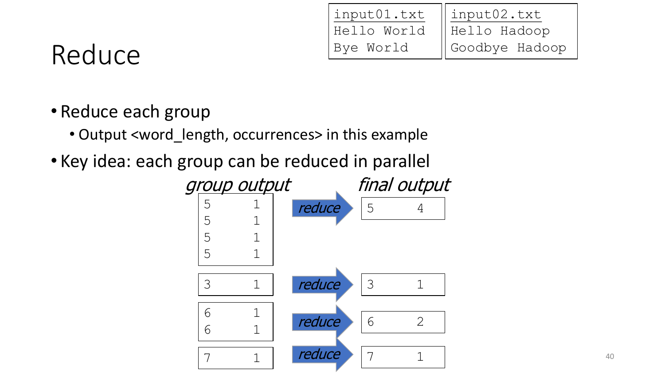| input01.txt | input02.txt                |
|-------------|----------------------------|
| Hello World | Hello Hadoop               |
| Bye World   | $\parallel$ Goodbye Hadoop |

#### Reduce

#### • Reduce each group

- Output <word\_length, occurrences> in this example
- Key idea: each group can be reduced in parallel

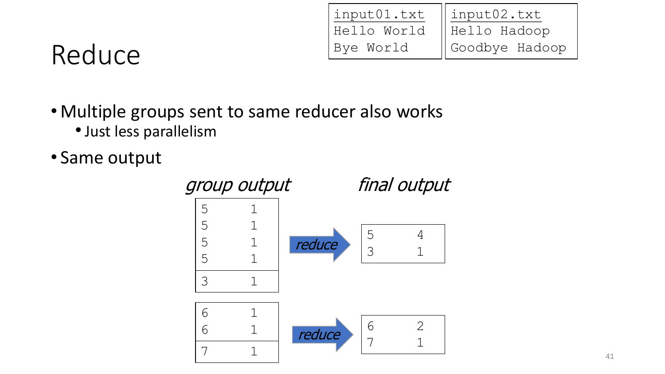| input01.txt | $\parallel$ input02.txt    |
|-------------|----------------------------|
| Hello World | $  $ Hello Hadoop          |
| Bye World   | $\parallel$ Goodbye Hadoop |

#### Reduce

- Multiple groups sent to same reducer also works
	- •Just less parallelism
- Same output

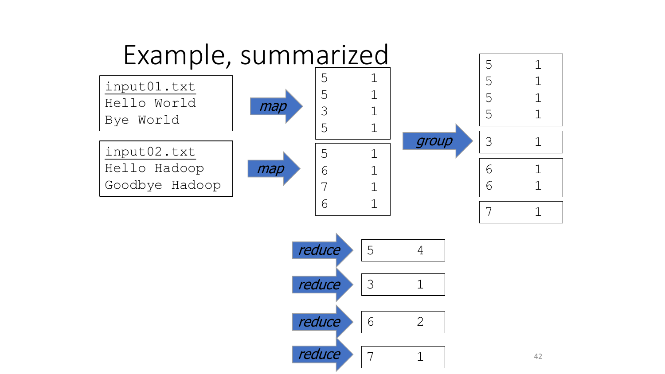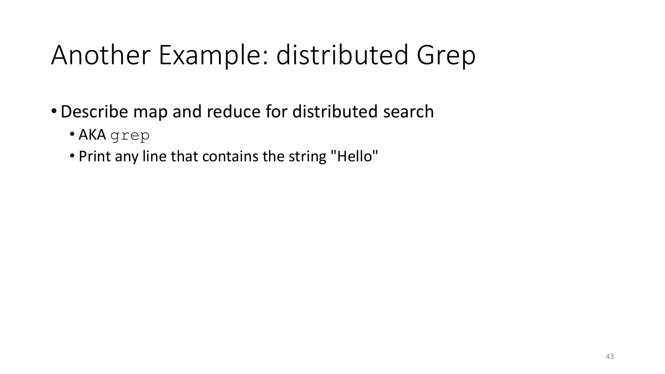## Another Example: distributed Grep

- •Describe map and reduce for distributed search
	- AKA grep
	- Print any line that contains the string "Hello"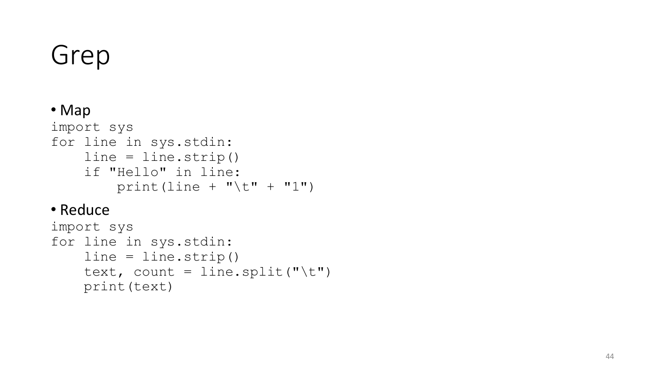## Grep

#### • Map import sys for line in sys.stdin: line = line.strip() if "Hello" in line:  $print$ (line + " $\setminus t$ " + "1")

#### • Reduce

```
import sys
for line in sys.stdin:
    line = line.strip()
    text, count = line.split("
\t")
    print(text)
```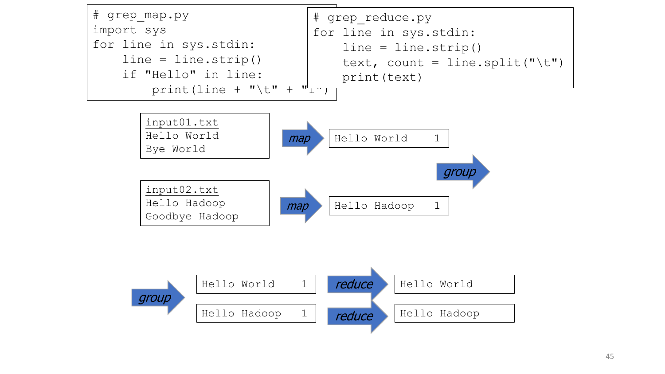

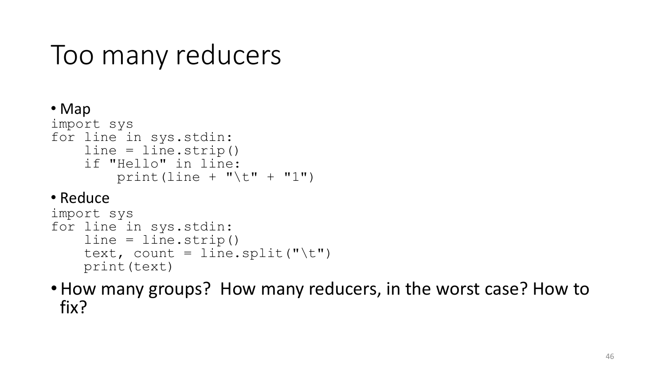#### Too many reducers

```
• Map
import sys
for line in sys.stdin:
    line = line . strip()if "Hello" in line:
        print(line + "\t" + "1")
• Reduce
import sys
for line in sys.stdin:
```

```
line = line.strip()
text, count = line.split("\t")
print(text)
```
• How many groups? How many reducers, in the worst case? How to fix?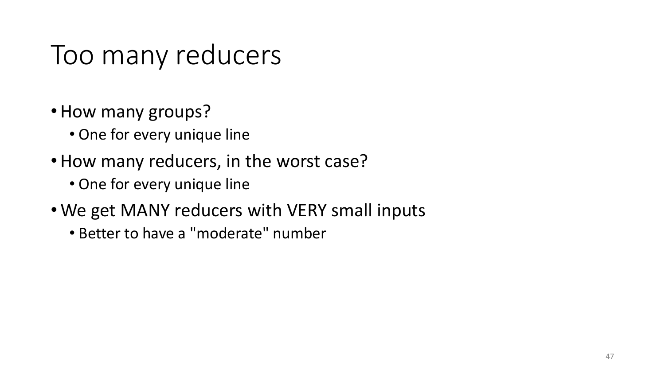#### Too many reducers

- How many groups?
	- One for every unique line
- How many reducers, in the worst case?
	- One for every unique line
- We get MANY reducers with VERY small inputs
	- Better to have a "moderate" number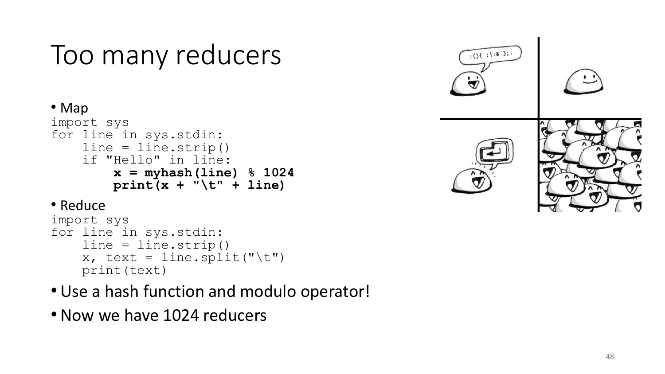#### Too many reducers

#### • Map

```
import sys
for line in sys.stdin
:
    line = line.strip()
    if "Hello" in line:
        x = myhash(line) % 1024
        print(x + "
\t" + line)
```
#### • Reduce

```
import sys
for line in sys.stdin
:
    line = line.strip()
    x, text = line.split("\t")
    print(text)
```
- Use a hash function and modulo operator!
- Now we have 1024 reducers

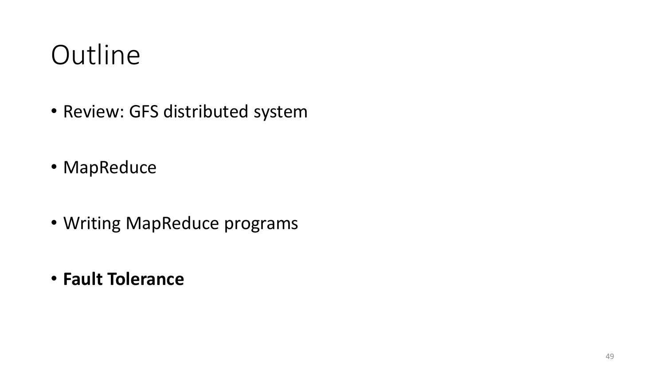## **Outline**

- Review: GFS distributed system
- MapReduce
- Writing MapReduce programs
- **Fault Tolerance**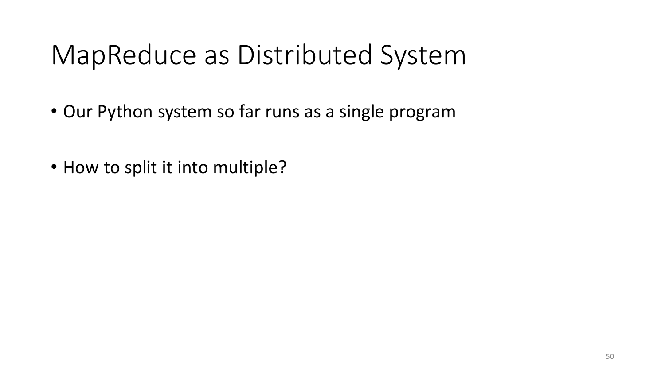- Our Python system so far runs as a single program
- How to split it into multiple?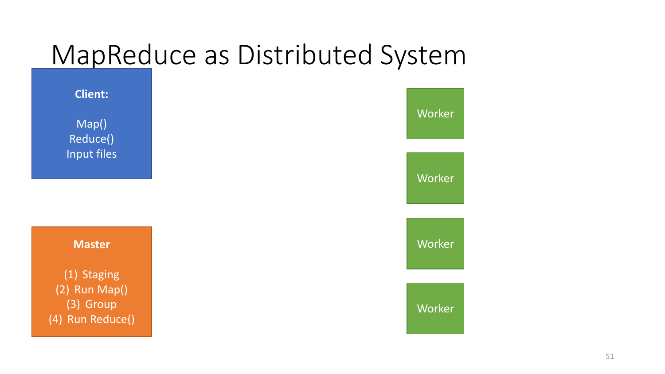

51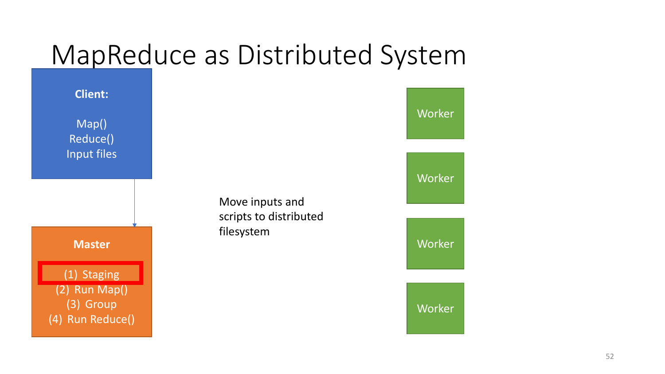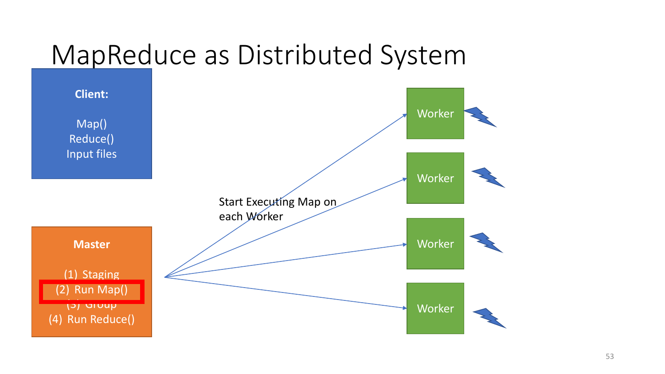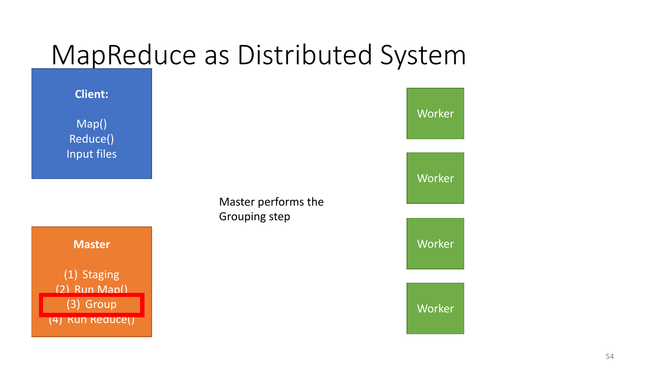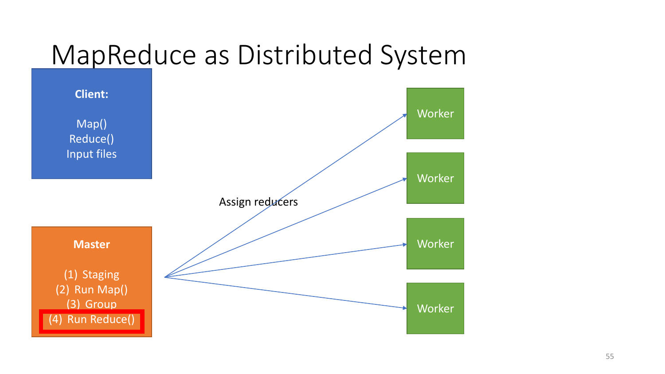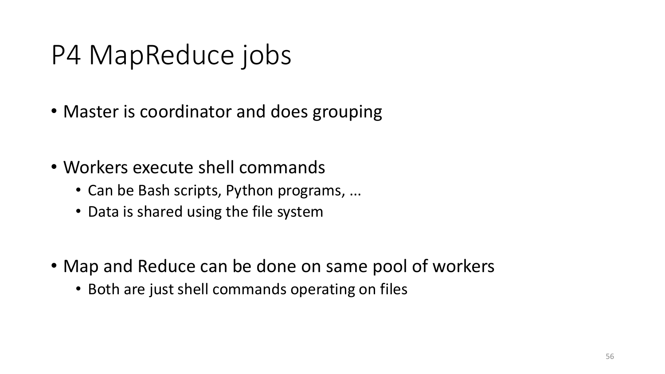## P4 MapReduce jobs

- Master is coordinator and does grouping
- Workers execute shell commands
	- Can be Bash scripts, Python programs, ...
	- Data is shared using the file system
- Map and Reduce can be done on same pool of workers
	- Both are just shell commands operating on files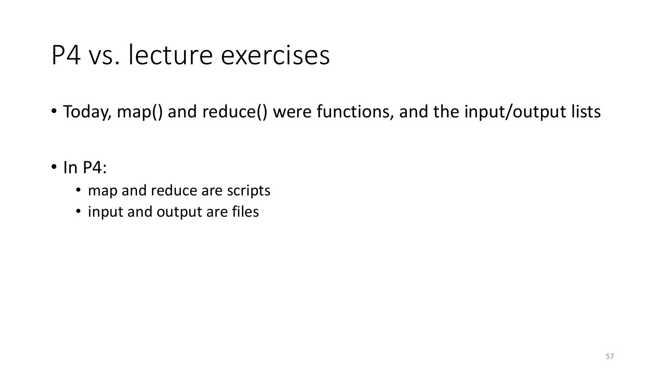#### P4 vs. lecture exercises

- Today, map() and reduce() were functions, and the input/output lists
- In P4:
	- map and reduce are scripts
	- input and output are files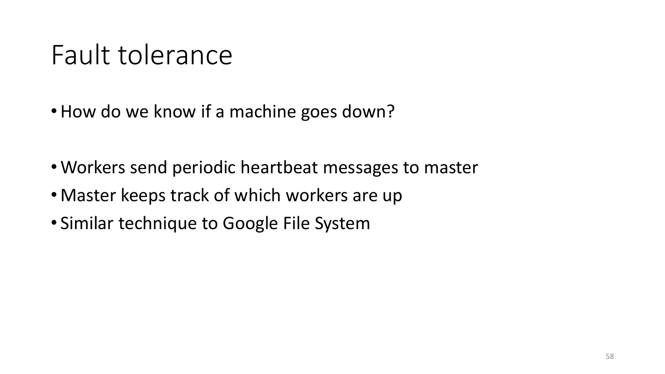## Fault tolerance

- How do we know if a machine goes down?
- Workers send periodic heartbeat messages to master
- Master keeps track of which workers are up
- Similar technique to Google File System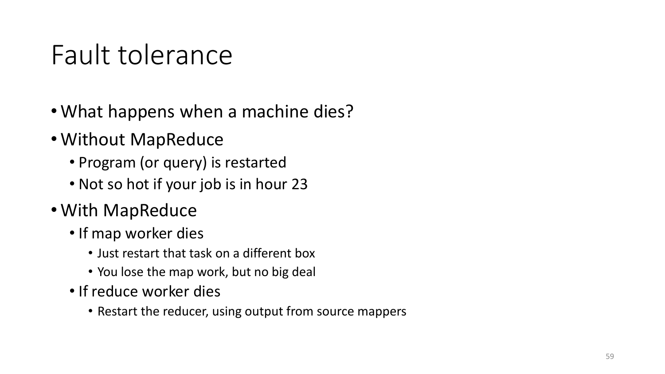## Fault tolerance

- What happens when a machine dies?
- Without MapReduce
	- Program (or query) is restarted
	- Not so hot if your job is in hour 23
- With MapReduce
	- If map worker dies
		- Just restart that task on a different box
		- You lose the map work, but no big deal
	- If reduce worker dies
		- Restart the reducer, using output from source mappers